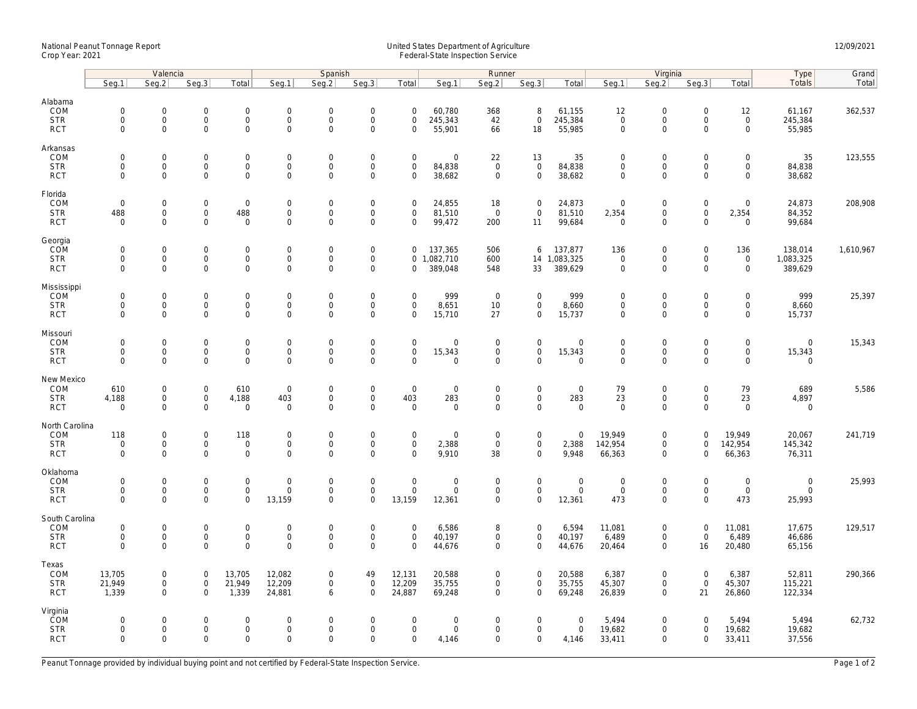## National Peanut Tonnage Report United States Department of Agriculture 12/09/2021<br>Crop Year: 2021 Federal-State Inspection Service

|                                                    | Valencia                                               |                                                           |                                                            |                                              | Spanish                                            |                                                           |                                                   |                                                           | Runner                                       |                                  |                                                   |                                      |                                                   | Virginia                                                          |                                                        | Type                                              | Grand                                |           |
|----------------------------------------------------|--------------------------------------------------------|-----------------------------------------------------------|------------------------------------------------------------|----------------------------------------------|----------------------------------------------------|-----------------------------------------------------------|---------------------------------------------------|-----------------------------------------------------------|----------------------------------------------|----------------------------------|---------------------------------------------------|--------------------------------------|---------------------------------------------------|-------------------------------------------------------------------|--------------------------------------------------------|---------------------------------------------------|--------------------------------------|-----------|
|                                                    | Seq.1                                                  | Seq.2                                                     | Seg.3                                                      | Total                                        | Seg.1                                              | Seq.2                                                     | Seq.3                                             | Total                                                     | Seq.1                                        | Seg.2                            | Seq.3                                             | Total                                | Seg.1                                             | Seg.2                                                             | Seq.3                                                  | Total                                             | Totals                               | Total     |
| Alabama<br>COM<br><b>STR</b><br><b>RCT</b>         | $\mathbf 0$<br>$\mathsf{O}\xspace$<br>$\mathbf 0$      | $\mathbf 0$<br>$\mathsf{O}\xspace$<br>$\mathbf 0$         | $\mathbf 0$<br>$\mathsf{O}\xspace$<br>$\mathbf{0}$         | $\mathbf 0$<br>$\mathsf{O}\xspace$<br>0      | $\mathbf{0}$<br>$\mathsf 0$<br>$\mathsf{O}\xspace$ | $\mathbf 0$<br>$\mathbf 0$<br>$\mathsf{O}\xspace$         | $\mathbf 0$<br>$\mathsf{O}\xspace$<br>$\mathbf 0$ | $\mathbf 0$<br>$\mathsf{O}\xspace$<br>$\mathbf 0$         | 60,780<br>245,343<br>55,901                  | 368<br>42<br>66                  | 8<br>$\mathsf{O}\xspace$<br>18                    | 61,155<br>245,384<br>55,985          | 12<br>$\mathsf{O}\xspace$<br>$\mathsf{O}\xspace$  | $\mathbf 0$<br>$\mathsf{O}\xspace$<br>$\mathbf 0$                 | $\mathbf 0$<br>$\mathsf{O}\xspace$<br>$\mathbf 0$      | 12<br>$\mathsf 0$<br>$\mathsf{O}\xspace$          | 61,167<br>245,384<br>55,985          | 362,537   |
| Arkansas<br>COM<br><b>STR</b><br><b>RCT</b>        | $\mathbf 0$<br>$\mathbf 0$<br>$\mathbf 0$              | $\mathbf 0$<br>$\mathbf 0$<br>$\mathbf 0$                 | $\mathsf{O}\xspace$<br>$\mathbf 0$<br>$\mathbf 0$          | 0<br>0<br>0                                  | $\mathbf 0$<br>$\mathsf{O}\xspace$<br>$\mathbf 0$  | $\mathbf 0$<br>$\mathbf 0$<br>$\mathbf 0$                 | $\mathbf 0$<br>$\mathsf{O}\xspace$<br>$\mathbf 0$ | $\mathsf{O}\xspace$<br>$\mathsf{O}\xspace$<br>$\mathbf 0$ | $\mathsf{O}\xspace$<br>84,838<br>38,682      | 22<br>$\mathbf 0$<br>$\mathsf 0$ | 13<br>$\mathsf{O}\xspace$<br>$\mathbf 0$          | 35<br>84,838<br>38,682               | $\mathbf 0$<br>$\mathbf 0$<br>$\mathbf 0$         | $\mathsf{O}\xspace$<br>$\mathsf{O}\xspace$<br>$\mathbf 0$         | $\mathbf 0$<br>$\mathbf 0$<br>$\mathbf 0$              | $\mathsf{O}\xspace$<br>$\mathbf 0$<br>$\mathbf 0$ | 35<br>84,838<br>38,682               | 123,555   |
| Florida<br>COM<br><b>STR</b><br><b>RCT</b>         | $\mathsf{O}\xspace$<br>488<br>$\mathbf 0$              | $\mathbf 0$<br>$\mathbf 0$<br>$\mathbf 0$                 | $\mathsf{O}\xspace$<br>$\mathbf{0}$<br>$\mathbf 0$         | $\mathsf 0$<br>488<br>$\mathbf 0$            | $\boldsymbol{0}$<br>$\mathsf{O}$<br>$\mathbf 0$    | $\mathbf 0$<br>$\mathbf{0}$<br>$\mathbf 0$                | $\mathsf{O}\xspace$<br>$\mathbf 0$<br>$\mathbf 0$ | $\mathbf 0$<br>$\mathbf 0$<br>$\mathbf 0$                 | 24,855<br>81,510<br>99,472                   | 18<br>$\mathbf{0}$<br>200        | $\mathbf 0$<br>$\mathbf{0}$<br>11                 | 24,873<br>81,510<br>99,684           | $\mathbf 0$<br>2,354<br>$\mathbf 0$               | $\mathsf{O}\xspace$<br>$\mathsf{O}\xspace$<br>$\mathbf 0$         | $\mathsf{O}\xspace$<br>$\mathbf 0$<br>$\mathbf 0$      | $\mathsf{O}\xspace$<br>2,354<br>$\mathbf 0$       | 24,873<br>84,352<br>99,684           | 208,908   |
| Georgia<br>COM<br><b>STR</b><br><b>RCT</b>         | $\mathbf 0$<br>$\mathsf{O}\xspace$<br>$\Omega$         | $\mathbf 0$<br>$\mathsf{O}\xspace$<br>$\Omega$            | $\mathsf{O}\xspace$<br>$\mathsf{O}\xspace$<br>$\Omega$     | 0<br>0<br>0                                  | $\mathbf 0$<br>$\mathsf 0$<br>$\Omega$             | $\mathsf{O}\xspace$<br>$\mathbf 0$<br>$\Omega$            | $\mathbf 0$<br>$\mathbf 0$<br>$\mathbf 0$         | $\mathbf{0}$<br>$\mathbf 0$                               | 137,365<br>0 1,082,710<br>389,048            | 506<br>600<br>548                | 6<br>14<br>33                                     | 137,877<br>1,083,325<br>389,629      | 136<br>$\mathbf 0$<br>$\mathbf 0$                 | $\mathsf{O}\xspace$<br>$\mathsf{O}\xspace$<br>$\Omega$            | $\mathsf{O}\xspace$<br>$\mathsf{O}\xspace$<br>$\Omega$ | 136<br>$\mathsf{O}$<br>$\mathbf 0$                | 138,014<br>1,083,325<br>389,629      | 1,610,967 |
| Mississippi<br>COM<br><b>STR</b><br><b>RCT</b>     | $\mathsf{O}\xspace$<br>$\mathsf{O}\xspace$<br>$\Omega$ | $\mathbf 0$<br>$\mathbf 0$<br>$\Omega$                    | $\mathbf 0$<br>$\mathsf{O}\xspace$<br>$\mathbf{0}$         | 0<br>0<br>$\mathbf{0}$                       | $\mathsf 0$<br>$\mathbf 0$<br>$\mathbf 0$          | $\mathsf{O}\xspace$<br>$\mathsf{O}\xspace$<br>$\mathbf 0$ | $\mathbf 0$<br>$\mathbf 0$<br>$\mathbf 0$         | $\mathbf 0$<br>$\mathsf{O}\xspace$<br>$\mathbf 0$         | 999<br>8,651<br>15,710                       | $\overline{0}$<br>10<br>27       | $\mathbf 0$<br>$\mathbf 0$<br>$\mathbf 0$         | 999<br>8,660<br>15,737               | $\mathbf 0$<br>$\mathsf{O}\xspace$<br>$\mathbf 0$ | $\mathsf{O}\xspace$<br>$\mathsf{O}\xspace$<br>$\mathbf 0$         | $\mathbf 0$<br>$\mathsf{O}\xspace$<br>$\Omega$         | $\mathsf{O}\xspace$<br>$\mathbf 0$<br>$\Omega$    | 999<br>8,660<br>15,737               | 25,397    |
| Missouri<br>COM<br><b>STR</b><br><b>RCT</b>        | $\mathbf 0$<br>$\mathsf{O}\xspace$<br>$\Omega$         | $\mathbf 0$<br>$\mathsf{O}\xspace$<br>$\mathbf 0$         | $\mathbf 0$<br>$\mathsf{O}\xspace$<br>$\mathbf 0$          | 0<br>$\mathbf 0$<br>$\overline{0}$           | $\mathbf 0$<br>$\mathsf{O}\xspace$<br>$\mathbf 0$  | $\mathbf 0$<br>$\mathbf 0$<br>$\mathbf 0$                 | $\mathsf{O}\xspace$<br>$\mathbf 0$<br>$\mathbf 0$ | $\mathsf{O}\xspace$<br>$\mathsf{O}\xspace$<br>$\Omega$    | $\mathbf 0$<br>15,343<br>$\mathbf 0$         | $\mathbf 0$<br>0<br>$\mathbf 0$  | $\mathbf 0$<br>$\mathbf 0$<br>$\mathbf{0}$        | $\mathbf 0$<br>15,343<br>$\mathbf 0$ | $\mathbf 0$<br>$\mathsf{O}\xspace$<br>$\mathbf 0$ | $\mathsf{O}\xspace$<br>$\mathsf{O}\xspace$<br>$\mathbf 0$         | $\mathbf 0$<br>$\mathbf 0$<br>$\mathbf 0$              | $\mathbf 0$<br>$\mathsf{O}\xspace$<br>$\mathbf 0$ | $\mathbf 0$<br>15,343<br>$\mathbf 0$ | 15,343    |
| New Mexico<br>COM<br><b>STR</b><br><b>RCT</b>      | 610<br>4,188<br>$\mathbf 0$                            | $\mathsf{O}\xspace$<br>$\mathsf{O}\xspace$<br>$\mathbf 0$ | $\mathsf{O}\xspace$<br>$\mathsf{O}\xspace$<br>$\mathbf 0$  | 610<br>4,188<br>$\mathbf 0$                  | $\mathbf 0$<br>403<br>$\mathbf 0$                  | $\mathbf 0$<br>$\mathbf 0$<br>$\mathsf{O}\xspace$         | $\mathsf{O}\xspace$<br>$\mathbf 0$<br>$\mathbf 0$ | $\mathbf 0$<br>403<br>$\mathbf 0$                         | $\mathbf 0$<br>283<br>$\mathbf 0$            | $\mathbf 0$<br>0<br>$\mathbf 0$  | $\mathbf{0}$<br>$\mathsf{O}$<br>$\mathbf 0$       | $\mathbf 0$<br>283<br>$\mathbf 0$    | 79<br>23<br>$\mathbf 0$                           | $\mathsf{O}\xspace$<br>$\mathsf{O}\xspace$<br>$\mathbf 0$         | $\mathbf 0$<br>$\mathsf{O}\xspace$<br>$\mathbf 0$      | 79<br>23<br>$\mathbf 0$                           | 689<br>4,897<br>$\mathbf 0$          | 5,586     |
| North Carolina<br>COM<br><b>STR</b><br><b>RCT</b>  | 118<br>$\mathbf 0$<br>$\mathbf 0$                      | $\mathbf 0$<br>$\mathbf 0$<br>$\mathbf 0$                 | $\mathsf{O}\xspace$<br>$\mathsf{O}\xspace$<br>$\mathbf{0}$ | 118<br>$\mathsf{O}\xspace$<br>0              | $\mathbf 0$<br>$\mathsf 0$<br>$\mathsf 0$          | $\mathsf{O}\xspace$<br>$\mathsf{O}\xspace$<br>$\mathbf 0$ | $\mathbf 0$<br>$\mathsf{O}\xspace$<br>$\mathbf 0$ | $\mathsf{O}\xspace$<br>$\mathsf{O}\xspace$<br>$\Omega$    | $\mathsf{O}\xspace$<br>2,388<br>9,910        | $\mathsf 0$<br>$\mathsf 0$<br>38 | $\mathbf 0$<br>$\mathsf{O}\xspace$<br>$\mathbf 0$ | $\mathbf 0$<br>2,388<br>9,948        | 19,949<br>142,954<br>66,363                       | $\mathsf{O}\xspace$<br>$\mathsf{O}\xspace$<br>$\mathbf 0$         | $\mathbf 0$<br>$\mathbf 0$<br>$\Omega$                 | 19,949<br>142,954<br>66,363                       | 20,067<br>145,342<br>76,311          | 241,719   |
| Oklahoma<br>COM<br><b>STR</b><br><b>RCT</b>        | $\mathsf{O}\xspace$<br>$\mathbf 0$<br>$\mathbf 0$      | $\mathbf 0$<br>$\mathbf 0$<br>$\mathbf 0$                 | $\mathsf{O}\xspace$<br>$\mathbf 0$<br>$\mathbf 0$          | $\mathbf 0$<br>$\mathbf 0$<br>$\overline{0}$ | $\overline{0}$<br>$\mathbf 0$<br>13,159            | $\mathbf 0$<br>$\mathbf{0}$<br>$\mathbf 0$                | $\mathbf 0$<br>$\mathbf 0$<br>$\mathbf 0$         | $\mathsf{O}\xspace$<br>$\mathbf 0$<br>13,159              | $\mathsf{O}\xspace$<br>$\mathbf 0$<br>12,361 | $\mathsf 0$<br>$\mathbf 0$<br>0  | $\mathbf 0$<br>$\mathbf 0$<br>$\mathsf{O}$        | $\mathbf 0$<br>$\mathbf 0$<br>12,361 | $\mathbf 0$<br>$\mathbf{0}$<br>473                | $\mathsf{O}\xspace$<br>$\mathsf{O}\xspace$<br>$\mathsf{O}\xspace$ | $\mathbf 0$<br>$\mathbf 0$<br>$\Omega$                 | $\mathbf 0$<br>$\mathbf 0$<br>473                 | $\mathbf 0$<br>$\mathbf 0$<br>25,993 | 25,993    |
| South Carolina<br>COM<br><b>STR</b><br><b>RCT</b>  | $\mathsf{O}\xspace$<br>$\mathbf 0$<br>$\mathbf 0$      | $\mathsf{O}\xspace$<br>$\mathbf 0$<br>$\mathbf 0$         | $\mathsf{O}\xspace$<br>$\mathbf 0$<br>$\mathbf{0}$         | $\mathbf 0$<br>$\mathsf{O}\xspace$<br>0      | $\overline{0}$<br>$\mathbf 0$<br>$\mathbf 0$       | $\mathbf 0$<br>$\mathbf{0}$<br>$\mathbf 0$                | $\mathsf{O}\xspace$<br>$\mathbf 0$<br>$\mathbf 0$ | $\mathbf 0$<br>$\mathbf 0$<br>$\mathbf{0}$                | 6,586<br>40,197<br>44,676                    | 8<br>$\mathbf 0$<br>$\mathbf 0$  | $\mathbf 0$<br>$\mathbf{0}$<br>$\mathbf 0$        | 6,594<br>40,197<br>44,676            | 11,081<br>6,489<br>20,464                         | $\mathsf{O}\xspace$<br>$\mathbf 0$<br>$\mathbf 0$                 | $\mathbf 0$<br>$\mathbf 0$<br>16                       | 11,081<br>6,489<br>20,480                         | 17,675<br>46,686<br>65,156           | 129,517   |
| Texas<br>COM<br><b>STR</b><br><b>RCT</b>           | 13,705<br>21,949<br>1,339                              | $\mathbf 0$<br>$\mathbf 0$<br>$\Omega$                    | $\mathsf{O}\xspace$<br>$\mathbf 0$<br>$\mathbf 0$          | 13,705<br>21,949<br>1,339                    | 12,082<br>12,209<br>24,881                         | $\mathsf{O}\xspace$<br>$\mathbf 0$<br>6                   | 49<br>$\mathbf 0$<br>$\Omega$                     | 12,131<br>12,209<br>24,887                                | 20,588<br>35,755<br>69,248                   | 0<br>0<br>$\Omega$               | $\mathbf 0$<br>$\mathbf 0$<br>$\Omega$            | 20,588<br>35,755<br>69,248           | 6,387<br>45,307<br>26,839                         | $\mathsf{O}\xspace$<br>$\mathsf{O}\xspace$<br>$\mathbf 0$         | $\mathsf{O}\xspace$<br>$\mathsf{O}\xspace$<br>21       | 6,387<br>45,307<br>26,860                         | 52,811<br>115,221<br>122,334         | 290,366   |
| Virginia<br><b>COM</b><br><b>STR</b><br><b>RCT</b> | $\mathbf 0$<br>$\mathbf 0$<br>$\Omega$                 | $\mathbf 0$<br>$\mathbf 0$<br>$\Omega$                    | $\mathbf 0$<br>$\mathbf 0$<br>$\Omega$                     | $\mathbf 0$<br>$\mathbf 0$<br>0              | $\mathbf 0$<br>$\mathbf 0$<br>$\Omega$             | $\mathbf 0$<br>$\mathbf 0$<br>$\mathbf 0$                 | $\mathbf 0$<br>$\mathsf{O}\xspace$<br>$\mathbf 0$ | $\mathbf 0$<br>$\mathbf 0$<br>$\Omega$                    | $\mathbf 0$<br>$\mathsf{O}\xspace$<br>4,146  | 0<br>0<br>0                      | $\mathbf 0$<br>$\mathbf 0$<br>0                   | $\mathbf 0$<br>$\mathsf{O}$<br>4,146 | 5,494<br>19,682<br>33,411                         | $\mathbf 0$<br>$\mathbf 0$<br>$\mathbf 0$                         | $\mathbf 0$<br>$\mathbf 0$<br>0                        | 5,494<br>19,682<br>33,411                         | 5,494<br>19,682<br>37,556            | 62,732    |

Peanut Tonnage provided by individual buying point and not certified by Federal-State Inspection Service. Page 1 of 2